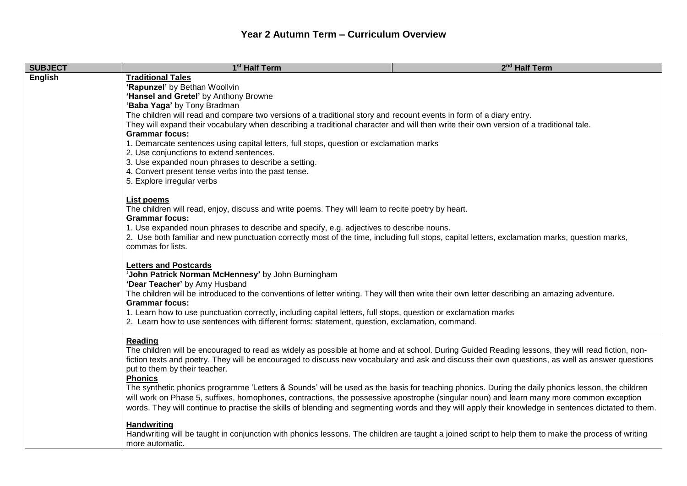## **Year 2 Autumn Term – Curriculum Overview**

| <b>SUBJECT</b> | 1 <sup>st</sup> Half Term                                                                                                                                                                                                                                                                                                                                              | 2 <sup>nd</sup> Half Term |
|----------------|------------------------------------------------------------------------------------------------------------------------------------------------------------------------------------------------------------------------------------------------------------------------------------------------------------------------------------------------------------------------|---------------------------|
| <b>English</b> | <b>Traditional Tales</b>                                                                                                                                                                                                                                                                                                                                               |                           |
|                | 'Rapunzel' by Bethan Woollvin<br>'Hansel and Gretel' by Anthony Browne<br>'Baba Yaga' by Tony Bradman<br>The children will read and compare two versions of a traditional story and recount events in form of a diary entry.<br>They will expand their vocabulary when describing a traditional character and will then write their own version of a traditional tale. |                           |
|                |                                                                                                                                                                                                                                                                                                                                                                        |                           |
|                |                                                                                                                                                                                                                                                                                                                                                                        |                           |
|                |                                                                                                                                                                                                                                                                                                                                                                        |                           |
|                | <b>Grammar focus:</b>                                                                                                                                                                                                                                                                                                                                                  |                           |
|                | 1. Demarcate sentences using capital letters, full stops, question or exclamation marks<br>2. Use conjunctions to extend sentences.                                                                                                                                                                                                                                    |                           |
|                | 3. Use expanded noun phrases to describe a setting.                                                                                                                                                                                                                                                                                                                    |                           |
|                | 4. Convert present tense verbs into the past tense.                                                                                                                                                                                                                                                                                                                    |                           |
|                | 5. Explore irregular verbs                                                                                                                                                                                                                                                                                                                                             |                           |
|                | List poems                                                                                                                                                                                                                                                                                                                                                             |                           |
|                | The children will read, enjoy, discuss and write poems. They will learn to recite poetry by heart.                                                                                                                                                                                                                                                                     |                           |
|                | <b>Grammar focus:</b>                                                                                                                                                                                                                                                                                                                                                  |                           |
|                | 1. Use expanded noun phrases to describe and specify, e.g. adjectives to describe nouns.                                                                                                                                                                                                                                                                               |                           |
|                | 2. Use both familiar and new punctuation correctly most of the time, including full stops, capital letters, exclamation marks, question marks,<br>commas for lists.                                                                                                                                                                                                    |                           |
|                |                                                                                                                                                                                                                                                                                                                                                                        |                           |
|                | <b>Letters and Postcards</b>                                                                                                                                                                                                                                                                                                                                           |                           |
|                | 'John Patrick Norman McHennesy' by John Burningham<br>'Dear Teacher' by Amy Husband<br>The children will be introduced to the conventions of letter writing. They will then write their own letter describing an amazing adventure.                                                                                                                                    |                           |
|                |                                                                                                                                                                                                                                                                                                                                                                        |                           |
|                | <b>Grammar focus:</b>                                                                                                                                                                                                                                                                                                                                                  |                           |
|                | 1. Learn how to use punctuation correctly, including capital letters, full stops, question or exclamation marks                                                                                                                                                                                                                                                        |                           |
|                | 2. Learn how to use sentences with different forms: statement, question, exclamation, command.                                                                                                                                                                                                                                                                         |                           |
|                | Reading                                                                                                                                                                                                                                                                                                                                                                |                           |
|                | The children will be encouraged to read as widely as possible at home and at school. During Guided Reading lessons, they will read fiction, non-                                                                                                                                                                                                                       |                           |
|                | fiction texts and poetry. They will be encouraged to discuss new vocabulary and ask and discuss their own questions, as well as answer questions                                                                                                                                                                                                                       |                           |
|                | put to them by their teacher.<br><b>Phonics</b>                                                                                                                                                                                                                                                                                                                        |                           |
|                | The synthetic phonics programme 'Letters & Sounds' will be used as the basis for teaching phonics. During the daily phonics lesson, the children                                                                                                                                                                                                                       |                           |
|                | will work on Phase 5, suffixes, homophones, contractions, the possessive apostrophe (singular noun) and learn many more common exception                                                                                                                                                                                                                               |                           |
|                | words. They will continue to practise the skills of blending and segmenting words and they will apply their knowledge in sentences dictated to them.                                                                                                                                                                                                                   |                           |
|                | <b>Handwriting</b>                                                                                                                                                                                                                                                                                                                                                     |                           |
|                | Handwriting will be taught in conjunction with phonics lessons. The children are taught a joined script to help them to make the process of writing                                                                                                                                                                                                                    |                           |
|                | more automatic.                                                                                                                                                                                                                                                                                                                                                        |                           |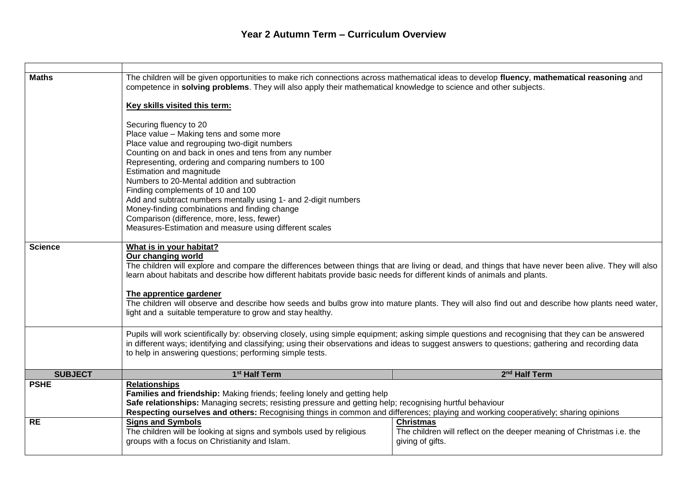| <b>Maths</b>   | The children will be given opportunities to make rich connections across mathematical ideas to develop fluency, mathematical reasoning and<br>competence in solving problems. They will also apply their mathematical knowledge to science and other subjects.                                                             |                                                                       |  |
|----------------|----------------------------------------------------------------------------------------------------------------------------------------------------------------------------------------------------------------------------------------------------------------------------------------------------------------------------|-----------------------------------------------------------------------|--|
|                | Key skills visited this term:                                                                                                                                                                                                                                                                                              |                                                                       |  |
|                | Securing fluency to 20<br>Place value - Making tens and some more                                                                                                                                                                                                                                                          |                                                                       |  |
|                | Place value and regrouping two-digit numbers                                                                                                                                                                                                                                                                               |                                                                       |  |
|                | Counting on and back in ones and tens from any number<br>Representing, ordering and comparing numbers to 100                                                                                                                                                                                                               |                                                                       |  |
|                | Estimation and magnitude                                                                                                                                                                                                                                                                                                   |                                                                       |  |
|                | Numbers to 20-Mental addition and subtraction                                                                                                                                                                                                                                                                              |                                                                       |  |
|                | Finding complements of 10 and 100                                                                                                                                                                                                                                                                                          |                                                                       |  |
|                | Add and subtract numbers mentally using 1- and 2-digit numbers                                                                                                                                                                                                                                                             |                                                                       |  |
|                | Money-finding combinations and finding change                                                                                                                                                                                                                                                                              |                                                                       |  |
|                | Comparison (difference, more, less, fewer)<br>Measures-Estimation and measure using different scales                                                                                                                                                                                                                       |                                                                       |  |
|                |                                                                                                                                                                                                                                                                                                                            |                                                                       |  |
| <b>Science</b> | What is in your habitat?                                                                                                                                                                                                                                                                                                   |                                                                       |  |
|                | Our changing world                                                                                                                                                                                                                                                                                                         |                                                                       |  |
|                | The children will explore and compare the differences between things that are living or dead, and things that have never been alive. They will also<br>learn about habitats and describe how different habitats provide basic needs for different kinds of animals and plants.                                             |                                                                       |  |
|                | The apprentice gardener                                                                                                                                                                                                                                                                                                    |                                                                       |  |
|                | The children will observe and describe how seeds and bulbs grow into mature plants. They will also find out and describe how plants need water,                                                                                                                                                                            |                                                                       |  |
|                | light and a suitable temperature to grow and stay healthy.                                                                                                                                                                                                                                                                 |                                                                       |  |
|                |                                                                                                                                                                                                                                                                                                                            |                                                                       |  |
|                | Pupils will work scientifically by: observing closely, using simple equipment; asking simple questions and recognising that they can be answered<br>in different ways; identifying and classifying; using their observations and ideas to suggest answers to questions; gathering and recording data                       |                                                                       |  |
|                | to help in answering questions; performing simple tests.                                                                                                                                                                                                                                                                   |                                                                       |  |
|                |                                                                                                                                                                                                                                                                                                                            |                                                                       |  |
| <b>SUBJECT</b> | 1 <sup>st</sup> Half Term                                                                                                                                                                                                                                                                                                  | 2 <sup>nd</sup> Half Term                                             |  |
| <b>PSHE</b>    | <b>Relationships</b>                                                                                                                                                                                                                                                                                                       |                                                                       |  |
|                | Families and friendship: Making friends; feeling lonely and getting help<br>Safe relationships: Managing secrets; resisting pressure and getting help; recognising hurtful behaviour<br>Respecting ourselves and others: Recognising things in common and differences; playing and working cooperatively; sharing opinions |                                                                       |  |
|                |                                                                                                                                                                                                                                                                                                                            |                                                                       |  |
| RE             | <b>Signs and Symbols</b>                                                                                                                                                                                                                                                                                                   | <b>Christmas</b>                                                      |  |
|                | The children will be looking at signs and symbols used by religious                                                                                                                                                                                                                                                        | The children will reflect on the deeper meaning of Christmas i.e. the |  |
|                | groups with a focus on Christianity and Islam.                                                                                                                                                                                                                                                                             | giving of gifts.                                                      |  |
|                |                                                                                                                                                                                                                                                                                                                            |                                                                       |  |